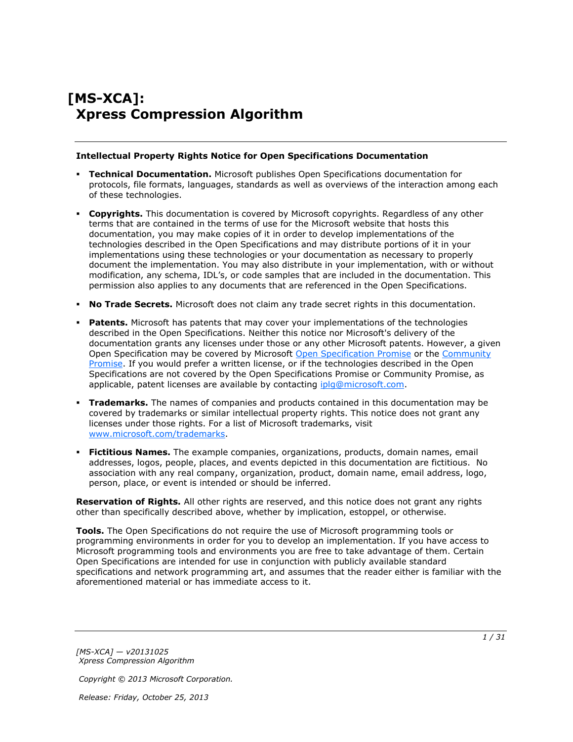# **[MS-XCA]: Xpress Compression Algorithm**

#### **Intellectual Property Rights Notice for Open Specifications Documentation**

- **Technical Documentation.** Microsoft publishes Open Specifications documentation for protocols, file formats, languages, standards as well as overviews of the interaction among each of these technologies.
- **Copyrights.** This documentation is covered by Microsoft copyrights. Regardless of any other terms that are contained in the terms of use for the Microsoft website that hosts this documentation, you may make copies of it in order to develop implementations of the technologies described in the Open Specifications and may distribute portions of it in your implementations using these technologies or your documentation as necessary to properly document the implementation. You may also distribute in your implementation, with or without modification, any schema, IDL's, or code samples that are included in the documentation. This permission also applies to any documents that are referenced in the Open Specifications.
- **No Trade Secrets.** Microsoft does not claim any trade secret rights in this documentation.
- **Patents.** Microsoft has patents that may cover your implementations of the technologies described in the Open Specifications. Neither this notice nor Microsoft's delivery of the documentation grants any licenses under those or any other Microsoft patents. However, a given Open Specification may be covered by Microsoft [Open Specification Promise](http://go.microsoft.com/fwlink/?LinkId=214445) or the [Community](http://go.microsoft.com/fwlink/?LinkId=214448)  [Promise.](http://go.microsoft.com/fwlink/?LinkId=214448) If you would prefer a written license, or if the technologies described in the Open Specifications are not covered by the Open Specifications Promise or Community Promise, as applicable, patent licenses are available by contacting ipla@microsoft.com.
- **Trademarks.** The names of companies and products contained in this documentation may be covered by trademarks or similar intellectual property rights. This notice does not grant any licenses under those rights. For a list of Microsoft trademarks, visit [www.microsoft.com/trademarks.](http://www.microsoft.com/trademarks)
- **Fictitious Names.** The example companies, organizations, products, domain names, email addresses, logos, people, places, and events depicted in this documentation are fictitious. No association with any real company, organization, product, domain name, email address, logo, person, place, or event is intended or should be inferred.

**Reservation of Rights.** All other rights are reserved, and this notice does not grant any rights other than specifically described above, whether by implication, estoppel, or otherwise.

**Tools.** The Open Specifications do not require the use of Microsoft programming tools or programming environments in order for you to develop an implementation. If you have access to Microsoft programming tools and environments you are free to take advantage of them. Certain Open Specifications are intended for use in conjunction with publicly available standard specifications and network programming art, and assumes that the reader either is familiar with the aforementioned material or has immediate access to it.

*[MS-XCA] — v20131025 Xpress Compression Algorithm* 

*Copyright © 2013 Microsoft Corporation.*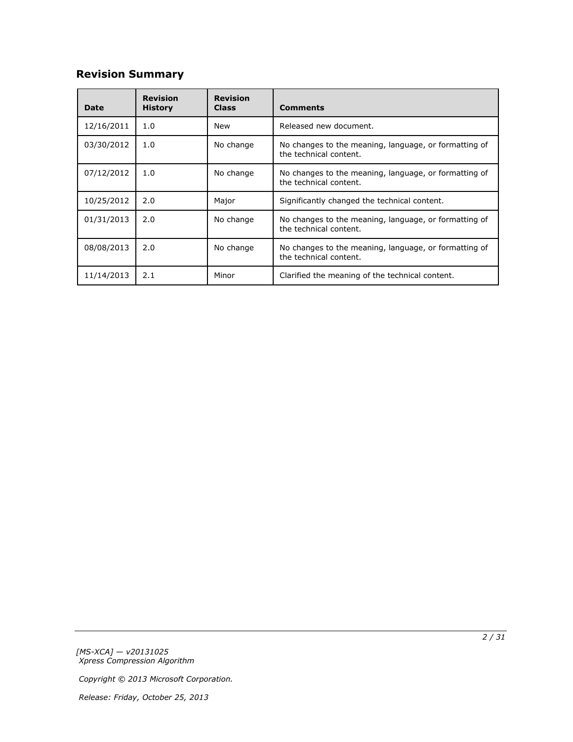# **Revision Summary**

| Date       | <b>Revision</b><br><b>History</b> | <b>Revision</b><br><b>Class</b> | <b>Comments</b>                                                                 |
|------------|-----------------------------------|---------------------------------|---------------------------------------------------------------------------------|
| 12/16/2011 | 1.0                               | <b>New</b>                      | Released new document.                                                          |
| 03/30/2012 | 1.0                               | No change                       | No changes to the meaning, language, or formatting of<br>the technical content. |
| 07/12/2012 | 1.0                               | No change                       | No changes to the meaning, language, or formatting of<br>the technical content. |
| 10/25/2012 | 2.0                               | Major                           | Significantly changed the technical content.                                    |
| 01/31/2013 | 2.0                               | No change                       | No changes to the meaning, language, or formatting of<br>the technical content. |
| 08/08/2013 | 2.0                               | No change                       | No changes to the meaning, language, or formatting of<br>the technical content. |
| 11/14/2013 | 2.1                               | Minor                           | Clarified the meaning of the technical content.                                 |

*[MS-XCA] — v20131025 Xpress Compression Algorithm* 

*Copyright © 2013 Microsoft Corporation.*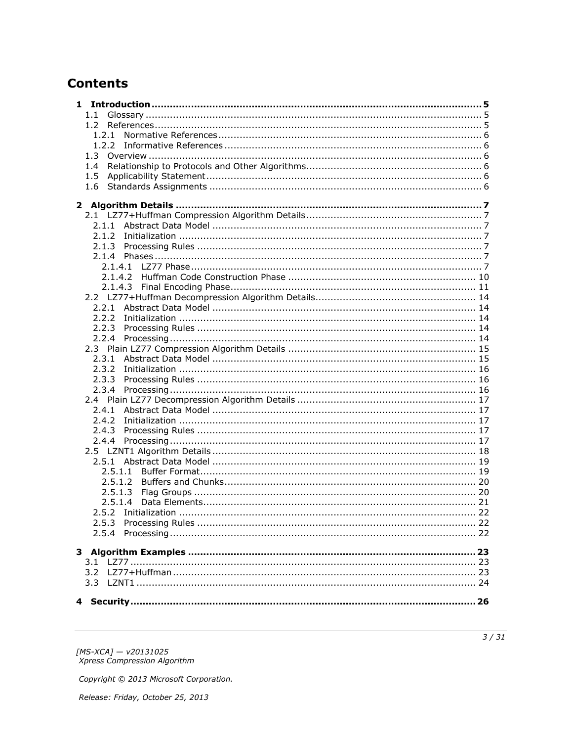# **Contents**

| $1.1 -$ |  |
|---------|--|
|         |  |
|         |  |
|         |  |
|         |  |
| 1.4     |  |
| 1.5     |  |
| 1.6     |  |
|         |  |
|         |  |
|         |  |
|         |  |
|         |  |
|         |  |
|         |  |
|         |  |
|         |  |
|         |  |
|         |  |
|         |  |
|         |  |
|         |  |
|         |  |
|         |  |
|         |  |
| 2.3.2   |  |
|         |  |
|         |  |
|         |  |
|         |  |
| 2.4.2   |  |
|         |  |
|         |  |
|         |  |
|         |  |
| 2.5.1.2 |  |
| 2.5.1.3 |  |
| 2.5.1.4 |  |
|         |  |
|         |  |
|         |  |
|         |  |
|         |  |
|         |  |
| 3.2     |  |
|         |  |
|         |  |
|         |  |

[MS-XCA] — v20131025<br>Xpress Compression Algorithm

Copyright © 2013 Microsoft Corporation.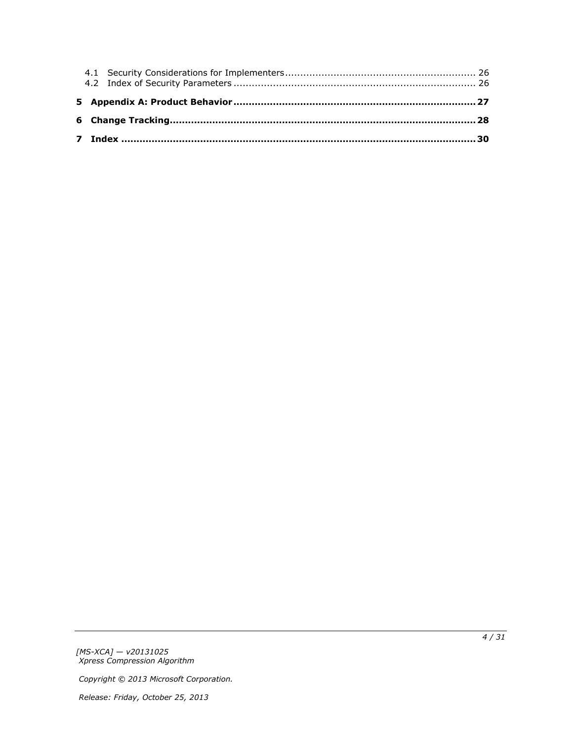*[MS-XCA] — v20131025 Xpress Compression Algorithm* 

*Copyright © 2013 Microsoft Corporation.*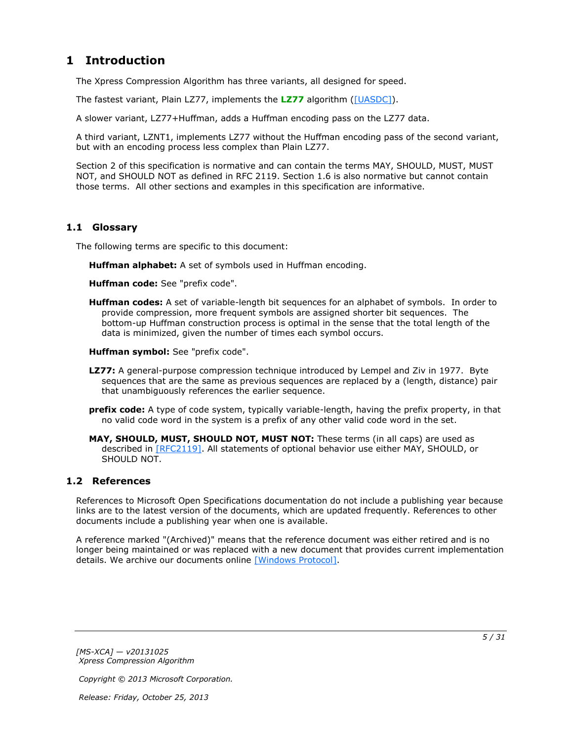# <span id="page-4-0"></span>**1 Introduction**

<span id="page-4-10"></span>The Xpress Compression Algorithm has three variants, all designed for speed.

The fastest variant, Plain LZ77, implements the **[LZ77](#page-4-3)** algorithm [\(\[UASDC\]\)](http://go.microsoft.com/fwlink/?LinkId=90549).

A slower variant, LZ77+Huffman, adds a Huffman encoding pass on the LZ77 data.

A third variant, LZNT1, implements LZ77 without the Huffman encoding pass of the second variant, but with an encoding process less complex than Plain LZ77.

Section 2 of this specification is normative and can contain the terms MAY, SHOULD, MUST, MUST NOT, and SHOULD NOT as defined in RFC 2119. Section 1.6 is also normative but cannot contain those terms. All other sections and examples in this specification are informative.

# <span id="page-4-1"></span>**1.1 Glossary**

The following terms are specific to this document:

<span id="page-4-9"></span><span id="page-4-6"></span>**Huffman alphabet:** A set of symbols used in Huffman encoding.

<span id="page-4-7"></span>**Huffman code:** See "prefix code".

<span id="page-4-5"></span>**Huffman codes:** A set of variable-length bit sequences for an alphabet of symbols. In order to provide compression, more frequent symbols are assigned shorter bit sequences. The bottom-up Huffman construction process is optimal in the sense that the total length of the data is minimized, given the number of times each symbol occurs.

<span id="page-4-8"></span>**Huffman symbol:** See "prefix code".

- <span id="page-4-3"></span>**LZ77:** A general-purpose compression technique introduced by Lempel and Ziv in 1977. Byte sequences that are the same as previous sequences are replaced by a (length, distance) pair that unambiguously references the earlier sequence.
- <span id="page-4-4"></span>**prefix code:** A type of code system, typically variable-length, having the prefix property, in that no valid code word in the system is a prefix of any other valid code word in the set.

**MAY, SHOULD, MUST, SHOULD NOT, MUST NOT:** These terms (in all caps) are used as described in [\[RFC2119\].](http://go.microsoft.com/fwlink/?LinkId=90317) All statements of optional behavior use either MAY, SHOULD, or SHOULD NOT.

## <span id="page-4-2"></span>**1.2 References**

References to Microsoft Open Specifications documentation do not include a publishing year because links are to the latest version of the documents, which are updated frequently. References to other documents include a publishing year when one is available.

A reference marked "(Archived)" means that the reference document was either retired and is no longer being maintained or was replaced with a new document that provides current implementation details. We archive our documents online [\[Windows Protocol\].](http://msdn.microsoft.com/en-us/library/jj633107.aspx)

*[MS-XCA] — v20131025 Xpress Compression Algorithm* 

*Copyright © 2013 Microsoft Corporation.*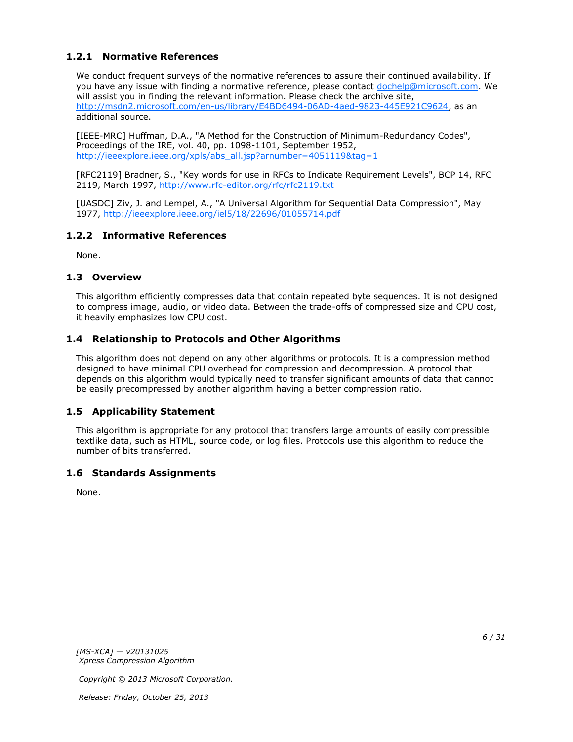# <span id="page-5-0"></span>**1.2.1 Normative References**

<span id="page-5-8"></span>We conduct frequent surveys of the normative references to assure their continued availability. If you have any issue with finding a normative reference, please contact [dochelp@microsoft.com.](mailto:dochelp@microsoft.com) We will assist you in finding the relevant information. Please check the archive site, [http://msdn2.microsoft.com/en-us/library/E4BD6494-06AD-4aed-9823-445E921C9624,](http://msdn2.microsoft.com/en-us/library/E4BD6494-06AD-4aed-9823-445E921C9624) as an additional source.

[IEEE-MRC] Huffman, D.A., "A Method for the Construction of Minimum-Redundancy Codes", Proceedings of the IRE, vol. 40, pp. 1098-1101, September 1952, [http://ieeexplore.ieee.org/xpls/abs\\_all.jsp?arnumber=4051119&tag=1](http://go.microsoft.com/fwlink/?LinkId=227659)

[RFC2119] Bradner, S., "Key words for use in RFCs to Indicate Requirement Levels", BCP 14, RFC 2119, March 1997, [http://www.rfc-editor.org/rfc/rfc2119.txt](http://go.microsoft.com/fwlink/?LinkId=90317)

[UASDC] Ziv, J. and Lempel, A., "A Universal Algorithm for Sequential Data Compression", May 1977, [http://ieeexplore.ieee.org/iel5/18/22696/01055714.pdf](http://go.microsoft.com/fwlink/?LinkId=90549)

## <span id="page-5-1"></span>**1.2.2 Informative References**

<span id="page-5-9"></span><span id="page-5-7"></span>None.

## <span id="page-5-2"></span>**1.3 Overview**

This algorithm efficiently compresses data that contain repeated byte sequences. It is not designed to compress image, audio, or video data. Between the trade-offs of compressed size and CPU cost, it heavily emphasizes low CPU cost.

## <span id="page-5-3"></span>**1.4 Relationship to Protocols and Other Algorithms**

<span id="page-5-10"></span>This algorithm does not depend on any other algorithms or protocols. It is a compression method designed to have minimal CPU overhead for compression and decompression. A protocol that depends on this algorithm would typically need to transfer significant amounts of data that cannot be easily precompressed by another algorithm having a better compression ratio.

### <span id="page-5-4"></span>**1.5 Applicability Statement**

<span id="page-5-6"></span>This algorithm is appropriate for any protocol that transfers large amounts of easily compressible textlike data, such as HTML, source code, or log files. Protocols use this algorithm to reduce the number of bits transferred.

### <span id="page-5-5"></span>**1.6 Standards Assignments**

<span id="page-5-11"></span>None.

*[MS-XCA] — v20131025 Xpress Compression Algorithm* 

*Copyright © 2013 Microsoft Corporation.*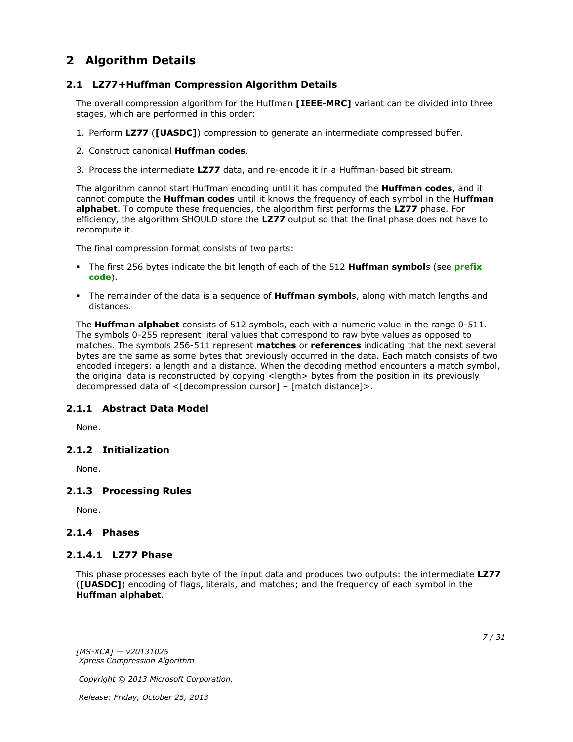# <span id="page-6-0"></span>**2 Algorithm Details**

# <span id="page-6-1"></span>**2.1 LZ77+Huffman Compression Algorithm Details**

<span id="page-6-10"></span>The overall compression algorithm for the Huffman **[IEEE-MRC]** variant can be divided into three stages, which are performed in this order:

- 1. Perform **LZ77** (**[UASDC]**) compression to generate an intermediate compressed buffer.
- 2. Construct canonical **Huffman codes**.
- 3. Process the intermediate **LZ77** data, and re-encode it in a Huffman-based bit stream.

The algorithm cannot start Huffman encoding until it has computed the **Huffman codes**, and it cannot compute the **Huffman codes** until it knows the frequency of each symbol in the **Huffman alphabet**. To compute these frequencies, the algorithm first performs the **LZ77** phase. For efficiency, the algorithm SHOULD store the **LZ77** output so that the final phase does not have to recompute it.

The final compression format consists of two parts:

- The first 256 bytes indicate the bit length of each of the 512 **Huffman symbol**s (see **[prefix](#page-4-4)  [code](#page-4-4)**).
- The remainder of the data is a sequence of **Huffman symbol**s, along with match lengths and distances.

The **Huffman alphabet** consists of 512 symbols, each with a numeric value in the range 0-511. The symbols 0-255 represent literal values that correspond to raw byte values as opposed to matches. The symbols 256-511 represent **matches** or **references** indicating that the next several bytes are the same as some bytes that previously occurred in the data. Each match consists of two encoded integers: a length and a distance. When the decoding method encounters a match symbol, the original data is reconstructed by copying <length> bytes from the position in its previously decompressed data of <[decompression cursor] – [match distance]>.

# <span id="page-6-2"></span>**2.1.1 Abstract Data Model**

<span id="page-6-9"></span><span id="page-6-8"></span>None.

# <span id="page-6-3"></span>**2.1.2 Initialization**

<span id="page-6-11"></span>None.

# <span id="page-6-4"></span>**2.1.3 Processing Rules**

None.

# <span id="page-6-5"></span>**2.1.4 Phases**

### <span id="page-6-6"></span>**2.1.4.1 LZ77 Phase**

<span id="page-6-7"></span>This phase processes each byte of the input data and produces two outputs: the intermediate **LZ77** (**[UASDC]**) encoding of flags, literals, and matches; and the frequency of each symbol in the **Huffman alphabet**.

*[MS-XCA] — v20131025 Xpress Compression Algorithm* 

*Copyright © 2013 Microsoft Corporation.*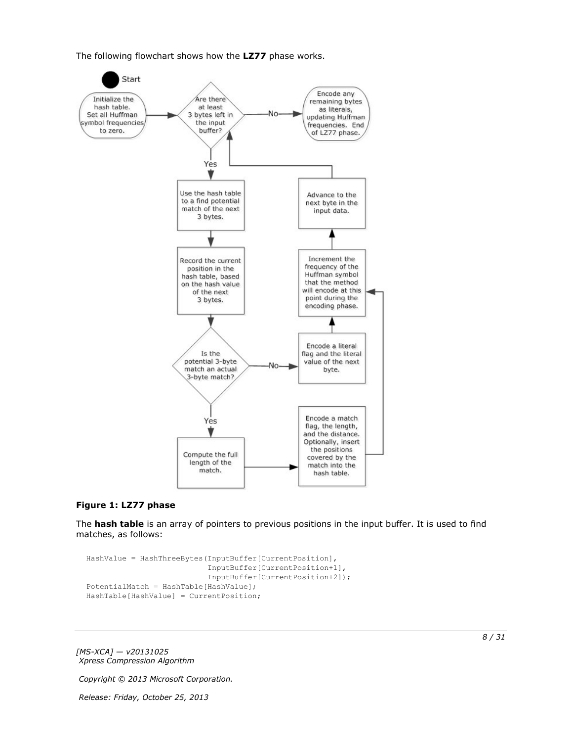The following flowchart shows how the **LZ77** phase works.



#### **Figure 1: LZ77 phase**

The **hash table** is an array of pointers to previous positions in the input buffer. It is used to find matches, as follows:

```
HashValue = HashThreeBytes(InputBuffer[CurrentPosition],
                            InputBuffer[CurrentPosition+1],
                           InputBuffer[CurrentPosition+2]);
PotentialMatch = HashTable[HashValue];
HashTable[HashValue] = CurrentPosition;
```
*[MS-XCA] — v20131025 Xpress Compression Algorithm* 

*Copyright © 2013 Microsoft Corporation.*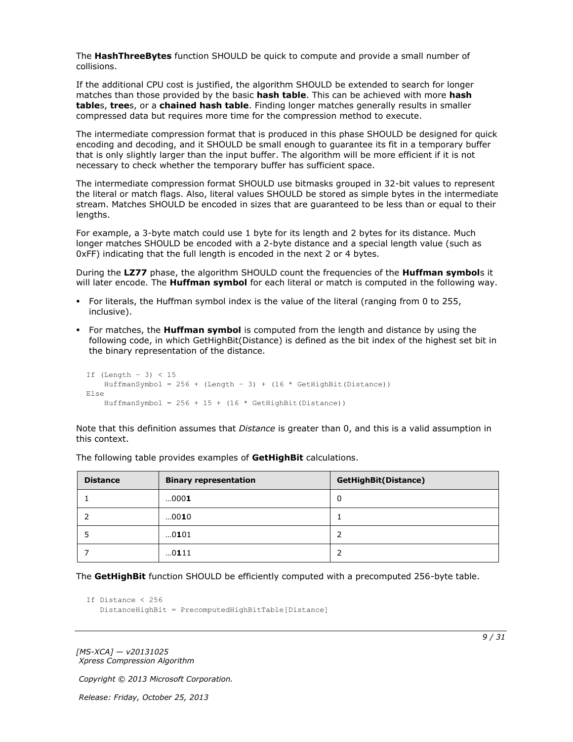The **HashThreeBytes** function SHOULD be quick to compute and provide a small number of collisions.

If the additional CPU cost is justified, the algorithm SHOULD be extended to search for longer matches than those provided by the basic **hash table**. This can be achieved with more **hash table**s, **tree**s, or a **chained hash table**. Finding longer matches generally results in smaller compressed data but requires more time for the compression method to execute.

The intermediate compression format that is produced in this phase SHOULD be designed for quick encoding and decoding, and it SHOULD be small enough to guarantee its fit in a temporary buffer that is only slightly larger than the input buffer. The algorithm will be more efficient if it is not necessary to check whether the temporary buffer has sufficient space.

The intermediate compression format SHOULD use bitmasks grouped in 32-bit values to represent the literal or match flags. Also, literal values SHOULD be stored as simple bytes in the intermediate stream. Matches SHOULD be encoded in sizes that are guaranteed to be less than or equal to their lengths.

For example, a 3-byte match could use 1 byte for its length and 2 bytes for its distance. Much longer matches SHOULD be encoded with a 2-byte distance and a special length value (such as 0xFF) indicating that the full length is encoded in the next 2 or 4 bytes.

During the **LZ77** phase, the algorithm SHOULD count the frequencies of the **Huffman symbol**s it will later encode. The **Huffman symbol** for each literal or match is computed in the following way.

- For literals, the Huffman symbol index is the value of the literal (ranging from 0 to 255, inclusive).
- For matches, the **Huffman symbol** is computed from the length and distance by using the following code, in which GetHighBit(Distance) is defined as the bit index of the highest set bit in the binary representation of the distance.

```
If (Length – 3) < 15
   HuffmanSymbol = 256 + (Length - 3) + (16 * GetHighBit(Distance))Else
    HuffmanSymbol = 256 + 15 + (16 * \text{ GetHighBit (Distance)})
```
Note that this definition assumes that *Distance* is greater than 0, and this is a valid assumption in this context.

| <b>Distance</b> | <b>Binary representation</b> | <b>GetHighBit(Distance)</b> |
|-----------------|------------------------------|-----------------------------|
|                 | 0001                         | 0                           |
|                 | 0010                         |                             |
|                 | 0101                         | 2                           |
|                 | 0111                         | 2                           |

The following table provides examples of **GetHighBit** calculations.

The **GetHighBit** function SHOULD be efficiently computed with a precomputed 256-byte table.

```
If Distance < 256
    DistanceHighBit = PrecomputedHighBitTable[Distance]
```
*[MS-XCA] — v20131025 Xpress Compression Algorithm* 

*Copyright © 2013 Microsoft Corporation.*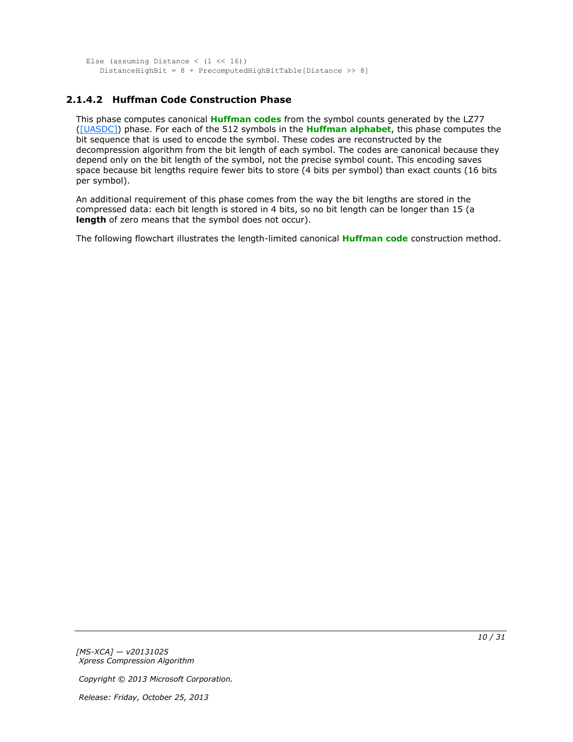```
Else (assuming Distance (1 \le 16))
    DistanceHighBit = 8 + PrecomputedHighBitTable[Distance >> 8]
```
# <span id="page-9-0"></span>**2.1.4.2 Huffman Code Construction Phase**

This phase computes canonical **[Huffman codes](#page-4-5)** from the symbol counts generated by the LZ77 [\(\[UASDC\]\)](http://go.microsoft.com/fwlink/?LinkId=90549) phase. For each of the 512 symbols in the **[Huffman alphabet](#page-4-6)**, this phase computes the bit sequence that is used to encode the symbol. These codes are reconstructed by the decompression algorithm from the bit length of each symbol. The codes are canonical because they depend only on the bit length of the symbol, not the precise symbol count. This encoding saves space because bit lengths require fewer bits to store (4 bits per symbol) than exact counts (16 bits per symbol).

An additional requirement of this phase comes from the way the bit lengths are stored in the compressed data: each bit length is stored in 4 bits, so no bit length can be longer than 15 (a **length** of zero means that the symbol does not occur).

The following flowchart illustrates the length-limited canonical **[Huffman code](#page-4-7)** construction method.

*[MS-XCA] — v20131025 Xpress Compression Algorithm* 

*Copyright © 2013 Microsoft Corporation.*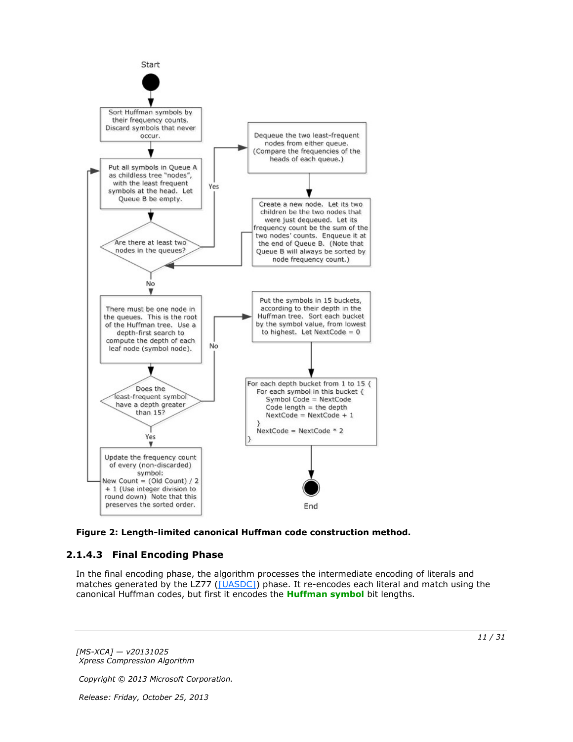

<span id="page-10-1"></span>

# <span id="page-10-0"></span>**2.1.4.3 Final Encoding Phase**

In the final encoding phase, the algorithm processes the intermediate encoding of literals and matches generated by the LZ77 [\(\[UASDC\]\)](http://go.microsoft.com/fwlink/?LinkId=90549) phase. It re-encodes each literal and match using the canonical Huffman codes, but first it encodes the **[Huffman symbol](#page-4-8)** bit lengths.

*[MS-XCA] — v20131025 Xpress Compression Algorithm* 

*Copyright © 2013 Microsoft Corporation.*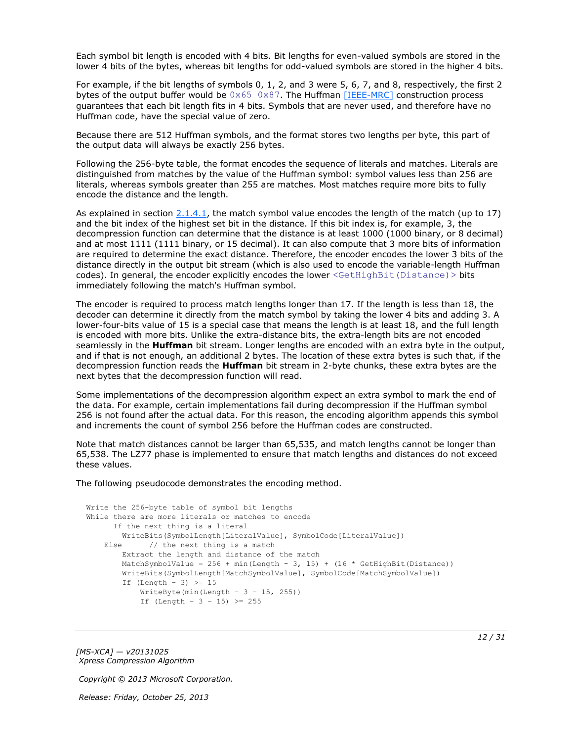Each symbol bit length is encoded with 4 bits. Bit lengths for even-valued symbols are stored in the lower 4 bits of the bytes, whereas bit lengths for odd-valued symbols are stored in the higher 4 bits.

For example, if the bit lengths of symbols 0, 1, 2, and 3 were 5, 6, 7, and 8, respectively, the first 2 bytes of the output buffer would be  $0 \times 65$   $0 \times 87$ . The Huffman [\[IEEE-MRC\]](http://go.microsoft.com/fwlink/?LinkId=227659) construction process guarantees that each bit length fits in 4 bits. Symbols that are never used, and therefore have no Huffman code, have the special value of zero.

Because there are 512 Huffman symbols, and the format stores two lengths per byte, this part of the output data will always be exactly 256 bytes.

Following the 256-byte table, the format encodes the sequence of literals and matches. Literals are distinguished from matches by the value of the Huffman symbol: symbol values less than 256 are literals, whereas symbols greater than 255 are matches. Most matches require more bits to fully encode the distance and the length.

As explained in section  $2.1.4.1$ , the match symbol value encodes the length of the match (up to 17) and the bit index of the highest set bit in the distance. If this bit index is, for example, 3, the decompression function can determine that the distance is at least 1000 (1000 binary, or 8 decimal) and at most 1111 (1111 binary, or 15 decimal). It can also compute that 3 more bits of information are required to determine the exact distance. Therefore, the encoder encodes the lower 3 bits of the distance directly in the output bit stream (which is also used to encode the variable-length Huffman codes). In general, the encoder explicitly encodes the lower <GetHighBit(Distance)> bits immediately following the match's Huffman symbol.

The encoder is required to process match lengths longer than 17. If the length is less than 18, the decoder can determine it directly from the match symbol by taking the lower 4 bits and adding 3. A lower-four-bits value of 15 is a special case that means the length is at least 18, and the full length is encoded with more bits. Unlike the extra-distance bits, the extra-length bits are not encoded seamlessly in the **Huffman** bit stream. Longer lengths are encoded with an extra byte in the output, and if that is not enough, an additional 2 bytes. The location of these extra bytes is such that, if the decompression function reads the **Huffman** bit stream in 2-byte chunks, these extra bytes are the next bytes that the decompression function will read.

Some implementations of the decompression algorithm expect an extra symbol to mark the end of the data. For example, certain implementations fail during decompression if the Huffman symbol 256 is not found after the actual data. For this reason, the encoding algorithm appends this symbol and increments the count of symbol 256 before the Huffman codes are constructed.

Note that match distances cannot be larger than 65,535, and match lengths cannot be longer than 65,538. The LZ77 phase is implemented to ensure that match lengths and distances do not exceed these values.

The following pseudocode demonstrates the encoding method.

```
Write the 256-byte table of symbol bit lengths
While there are more literals or matches to encode
      If the next thing is a literal
        WriteBits(SymbolLength[LiteralValue], SymbolCode[LiteralValue])
   Else // the next thing is a match
        Extract the length and distance of the match
       MatchSymbolValue = 256 + min(Length - 3, 15) + (16 * GetHighBit(Distance)) WriteBits(SymbolLength[MatchSymbolValue], SymbolCode[MatchSymbolValue])
        If (Length - 3) \geq 15
           WriteByte(min(Length - 3 - 15, 255))
           If (Length - 3 - 15) >= 255
```
*[MS-XCA] — v20131025 Xpress Compression Algorithm* 

*Copyright © 2013 Microsoft Corporation.*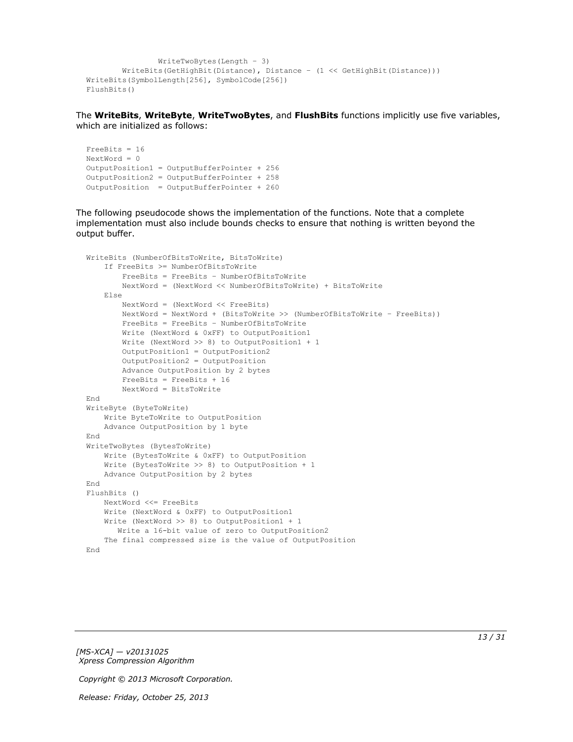```
 WriteTwoBytes(Length – 3)
         WriteBits(GetHighBit(Distance), Distance – (1 << GetHighBit(Distance)))
WriteBits(SymbolLength[256], SymbolCode[256])
FlushBits()
```
The **WriteBits**, **WriteByte**, **WriteTwoBytes**, and **FlushBits** functions implicitly use five variables, which are initialized as follows:

```
FreeBits = 16
NextWord = 0OutputPosition1 = OutputBufferPointer + 256
OutputPosition2 = OutputBufferPointer + 258 
OutputPosition = OutputBufferPointer + 260
```
The following pseudocode shows the implementation of the functions. Note that a complete implementation must also include bounds checks to ensure that nothing is written beyond the output buffer.

```
WriteBits (NumberOfBitsToWrite, BitsToWrite)
     If FreeBits >= NumberOfBitsToWrite
         FreeBits = FreeBits – NumberOfBitsToWrite
         NextWord = (NextWord << NumberOfBitsToWrite) + BitsToWrite
     Else
         NextWord = (NextWord << FreeBits)
         NextWord = NextWord + (BitsToWrite >> (NumberOfBitsToWrite – FreeBits))
         FreeBits = FreeBits – NumberOfBitsToWrite
         Write (NextWord & 0xFF) to OutputPosition1
         Write (NextWord >> 8) to OutputPosition1 + 1
         OutputPosition1 = OutputPosition2
         OutputPosition2 = OutputPosition
         Advance OutputPosition by 2 bytes
         FreeBits = FreeBits + 16
         NextWord = BitsToWrite
End
WriteByte (ByteToWrite)
     Write ByteToWrite to OutputPosition
     Advance OutputPosition by 1 byte
End
WriteTwoBytes (BytesToWrite)
     Write (BytesToWrite & 0xFF) to OutputPosition
     Write (BytesToWrite >> 8) to OutputPosition + 1
     Advance OutputPosition by 2 bytes
End
FlushBits ()
    NextWord <<= FreeBits
     Write (NextWord & 0xFF) to OutputPosition1
     Write (NextWord >> 8) to OutputPosition1 + 1
        Write a 16-bit value of zero to OutputPosition2
     The final compressed size is the value of OutputPosition
End
```
*[MS-XCA] — v20131025 Xpress Compression Algorithm* 

*Copyright © 2013 Microsoft Corporation.*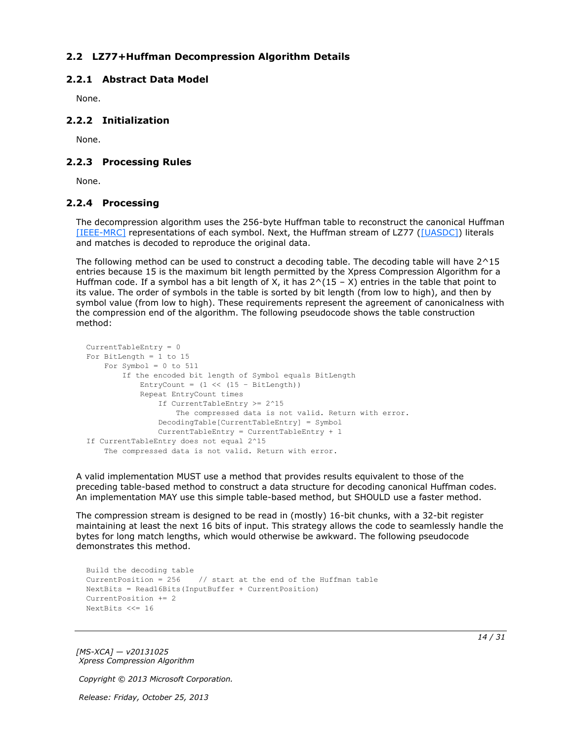# <span id="page-13-0"></span>**2.2 LZ77+Huffman Decompression Algorithm Details**

# <span id="page-13-1"></span>**2.2.1 Abstract Data Model**

<span id="page-13-6"></span><span id="page-13-5"></span>None.

## <span id="page-13-2"></span>**2.2.2 Initialization**

<span id="page-13-8"></span>None.

## <span id="page-13-3"></span>**2.2.3 Processing Rules**

<span id="page-13-7"></span>None.

## <span id="page-13-4"></span>**2.2.4 Processing**

The decompression algorithm uses the 256-byte Huffman table to reconstruct the canonical Huffman [\[IEEE-MRC\]](http://go.microsoft.com/fwlink/?LinkId=227659) representations of each symbol. Next, the Huffman stream of LZ77 [\(\[UASDC\]\)](http://go.microsoft.com/fwlink/?LinkId=90549) literals and matches is decoded to reproduce the original data.

The following method can be used to construct a decoding table. The decoding table will have  $2^{\wedge}15$ entries because 15 is the maximum bit length permitted by the Xpress Compression Algorithm for a Huffman code. If a symbol has a bit length of X, it has  $2^{\wedge}(15 - X)$  entries in the table that point to its value. The order of symbols in the table is sorted by bit length (from low to high), and then by symbol value (from low to high). These requirements represent the agreement of canonicalness with the compression end of the algorithm. The following pseudocode shows the table construction method:

```
CurrentTableEntry = 0
For BitLength = 1 to 15
   For Symbol = 0 to 511
         If the encoded bit length of Symbol equals BitLength
            EntryCount = (1 \le (15 - \text{BitLength})) Repeat EntryCount times
                 If CurrentTableEntry >= 2^15
                     The compressed data is not valid. Return with error.
                 DecodingTable[CurrentTableEntry] = Symbol
                 CurrentTableEntry = CurrentTableEntry + 1
If CurrentTableEntry does not equal 2^15
     The compressed data is not valid. Return with error.
```
A valid implementation MUST use a method that provides results equivalent to those of the preceding table-based method to construct a data structure for decoding canonical Huffman codes. An implementation MAY use this simple table-based method, but SHOULD use a faster method.

The compression stream is designed to be read in (mostly) 16-bit chunks, with a 32-bit register maintaining at least the next 16 bits of input. This strategy allows the code to seamlessly handle the bytes for long match lengths, which would otherwise be awkward. The following pseudocode demonstrates this method.

```
Build the decoding table
CurrentPosition = 256 // start at the end of the Huffman table
NextBits = Read16Bits(InputBuffer + CurrentPosition)
CurrentPosition += 2
NextBits <<= 16
```
*[MS-XCA] — v20131025 Xpress Compression Algorithm* 

*Copyright © 2013 Microsoft Corporation.*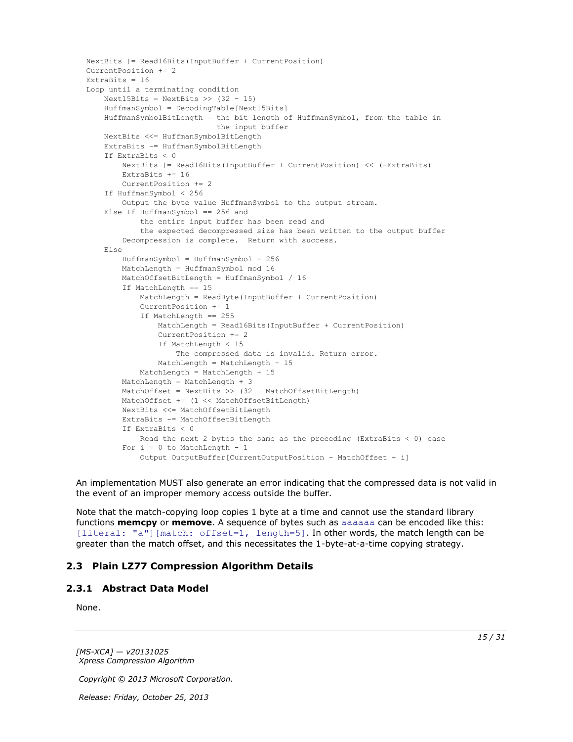```
NextBits |= Read16Bits(InputBuffer + CurrentPosition)
CurrentPosition += 2
ExtraBits = 16
Loop until a terminating condition
    Next15Bits = NextBits >> (32 - 15) HuffmanSymbol = DecodingTable[Next15Bits]
     HuffmanSymbolBitLength = the bit length of HuffmanSymbol, from the table in
                              the input buffer
     NextBits <<= HuffmanSymbolBitLength
     ExtraBits -= HuffmanSymbolBitLength
     If ExtraBits < 0
         NextBits |= Read16Bits(InputBuffer + CurrentPosition) << (-ExtraBits)
         ExtraBits += 16
         CurrentPosition += 2
     If HuffmanSymbol < 256
         Output the byte value HuffmanSymbol to the output stream.
     Else If HuffmanSymbol == 256 and
             the entire input buffer has been read and
             the expected decompressed size has been written to the output buffer
         Decompression is complete. Return with success.
     Else
         HuffmanSymbol = HuffmanSymbol - 256
         MatchLength = HuffmanSymbol mod 16
         MatchOffsetBitLength = HuffmanSymbol / 16
         If MatchLength == 15
             MatchLength = ReadByte(InputBuffer + CurrentPosition)
             CurrentPosition += 1
             If MatchLength == 255
                 MatchLength = Read16Bits(InputBuffer + CurrentPosition)
                 CurrentPosition += 2
                 If MatchLength < 15
                     The compressed data is invalid. Return error.
                 MatchLength = MatchLength - 15
             MatchLength = MatchLength + 15
         MatchLength = MatchLength + 3
         MatchOffset = NextBits >> (32 – MatchOffsetBitLength)
         MatchOffset += (1 << MatchOffsetBitLength)
         NextBits <<= MatchOffsetBitLength
         ExtraBits -= MatchOffsetBitLength
         If ExtraBits < 0
           Read the next 2 bytes the same as the preceding (ExtraBits < 0) case
        For i = 0 to MatchLength - 1
             Output OutputBuffer[CurrentOutputPosition – MatchOffset + i]
```
An implementation MUST also generate an error indicating that the compressed data is not valid in the event of an improper memory access outside the buffer.

Note that the match-copying loop copies 1 byte at a time and cannot use the standard library functions **memcpy** or **memove**. A sequence of bytes such as aaaaaa can be encoded like this: [literal: "a"][match: offset=1, length=5]. In other words, the match length can be greater than the match offset, and this necessitates the 1-byte-at-a-time copying strategy.

### <span id="page-14-0"></span>**2.3 Plain LZ77 Compression Algorithm Details**

#### <span id="page-14-1"></span>**2.3.1 Abstract Data Model**

<span id="page-14-3"></span><span id="page-14-2"></span>None.

*[MS-XCA] — v20131025 Xpress Compression Algorithm* 

*Copyright © 2013 Microsoft Corporation.*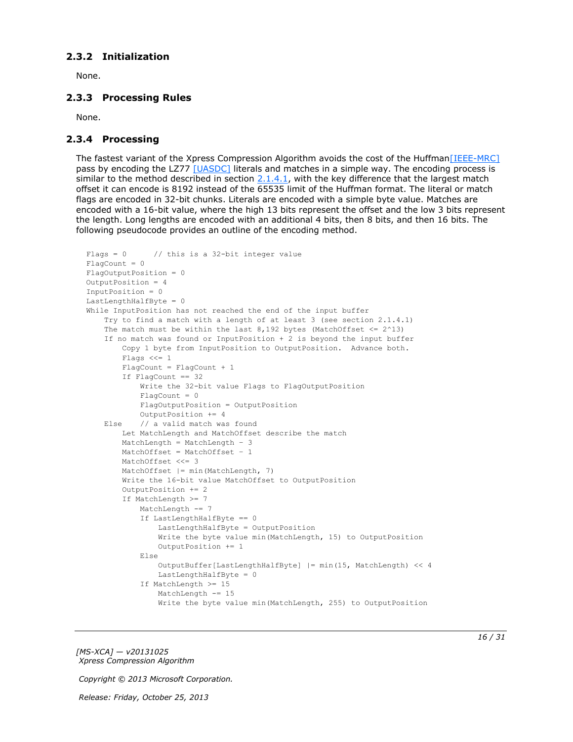## <span id="page-15-0"></span>**2.3.2 Initialization**

<span id="page-15-5"></span><span id="page-15-3"></span>None.

# <span id="page-15-1"></span>**2.3.3 Processing Rules**

<span id="page-15-4"></span>None.

## <span id="page-15-2"></span>**2.3.4 Processing**

The fastest variant of the Xpress Compression Algorithm avoids the cost of the Huffma[n\[IEEE-MRC\]](http://go.microsoft.com/fwlink/?LinkId=227659) pass by encoding the LZ77 [\[UASDC\]](http://go.microsoft.com/fwlink/?LinkId=90549) literals and matches in a simple way. The encoding process is similar to the method described in section  $2.1.4.1$ , with the key difference that the largest match offset it can encode is 8192 instead of the 65535 limit of the Huffman format. The literal or match flags are encoded in 32-bit chunks. Literals are encoded with a simple byte value. Matches are encoded with a 16-bit value, where the high 13 bits represent the offset and the low 3 bits represent the length. Long lengths are encoded with an additional 4 bits, then 8 bits, and then 16 bits. The following pseudocode provides an outline of the encoding method.

```
Flags = 0 // this is a 32-bit integer value
FlacCount = 0FlagOutputPosition = 0
OutputPosition = 4
InputPosition = 0
LastLengthHalfByte = 0
While InputPosition has not reached the end of the input buffer
     Try to find a match with a length of at least 3 (see section 2.1.4.1)
    The match must be within the last 8,192 bytes (MatchOffset \leq 2^13)
     If no match was found or InputPosition + 2 is beyond the input buffer
         Copy 1 byte from InputPosition to OutputPosition. Advance both.
         Flags <<= 1
         FlagCount = FlagCount + 1
         If FlagCount == 32
             Write the 32-bit value Flags to FlagOutputPosition
            FlagCount = 0 FlagOutputPosition = OutputPosition
             OutputPosition += 4
     Else // a valid match was found
         Let MatchLength and MatchOffset describe the match
         MatchLength = MatchLength – 3
         MatchOffset = MatchOffset – 1
        MatchOffset <<= 3
         MatchOffset |= min(MatchLength, 7)
         Write the 16-bit value MatchOffset to OutputPosition
         OutputPosition += 2
         If MatchLength >= 7
            MatchLength -= 7
             If LastLengthHalfByte == 0
                 LastLengthHalfByte = OutputPosition
                 Write the byte value min(MatchLength, 15) to OutputPosition
                 OutputPosition += 1
             Else
                OutputBuffer[LastLengthHalfByte] |= min(15, MatchLength) << 4
                 LastLengthHalfByte = 0
             If MatchLength >= 15
                MatchLength -= 15
                 Write the byte value min(MatchLength, 255) to OutputPosition
```
*[MS-XCA] — v20131025 Xpress Compression Algorithm* 

*Copyright © 2013 Microsoft Corporation.*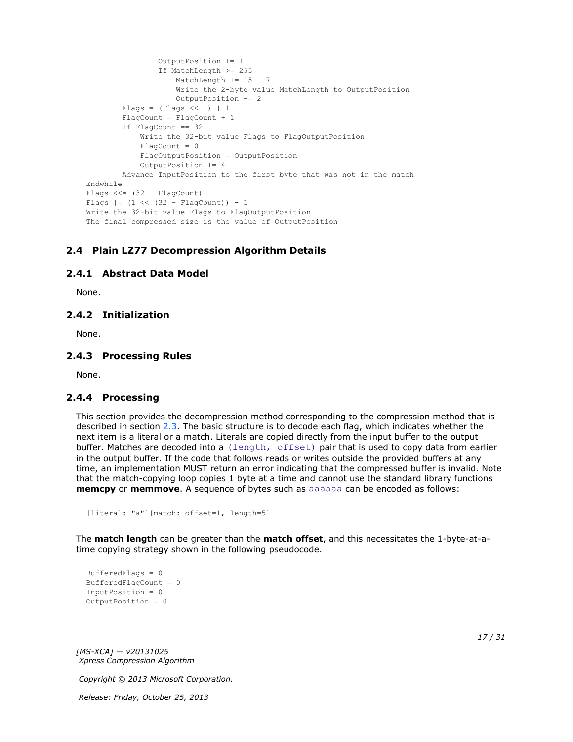```
 OutputPosition += 1
                  If MatchLength >= 255
                      MatchLength += 15 + 7
                     Write the 2-byte value MatchLength to OutputPosition
                     OutputPosition += 2
        Flags = (Flags << 1) | 1
         FlagCount = FlagCount + 1
         If FlagCount == 32
             Write the 32-bit value Flags to FlagOutputPosition
            Fla<sub>q</sub>Count = 0 FlagOutputPosition = OutputPosition
             OutputPosition += 4
         Advance InputPosition to the first byte that was not in the match
Endwhile
Flags << = (32 - FlaqCount)Flags |= (1 \lt\lt (32 - \text{FlagCount})) - 1Write the 32-bit value Flags to FlagOutputPosition
The final compressed size is the value of OutputPosition
```
# <span id="page-16-0"></span>**2.4 Plain LZ77 Decompression Algorithm Details**

### <span id="page-16-1"></span>**2.4.1 Abstract Data Model**

<span id="page-16-7"></span><span id="page-16-6"></span><span id="page-16-5"></span>None.

## <span id="page-16-2"></span>**2.4.2 Initialization**

<span id="page-16-9"></span>None.

### <span id="page-16-3"></span>**2.4.3 Processing Rules**

<span id="page-16-8"></span>None.

### <span id="page-16-4"></span>**2.4.4 Processing**

This section provides the decompression method corresponding to the compression method that is described in section [2.3.](#page-14-2) The basic structure is to decode each flag, which indicates whether the next item is a literal or a match. Literals are copied directly from the input buffer to the output buffer. Matches are decoded into a (length, offset) pair that is used to copy data from earlier in the output buffer. If the code that follows reads or writes outside the provided buffers at any time, an implementation MUST return an error indicating that the compressed buffer is invalid. Note that the match-copying loop copies 1 byte at a time and cannot use the standard library functions **memcpy** or **memmove**. A sequence of bytes such as aaaaaa can be encoded as follows:

```
[literal: "a"][match: offset=1, length=5]
```
The **match length** can be greater than the **match offset**, and this necessitates the 1-byte-at-atime copying strategy shown in the following pseudocode.

```
BufferedFlags = 0
BufferedFlagCount = 0
InputPosition = 0
OutputPosition = 0
```
*[MS-XCA] — v20131025 Xpress Compression Algorithm* 

*Copyright © 2013 Microsoft Corporation.*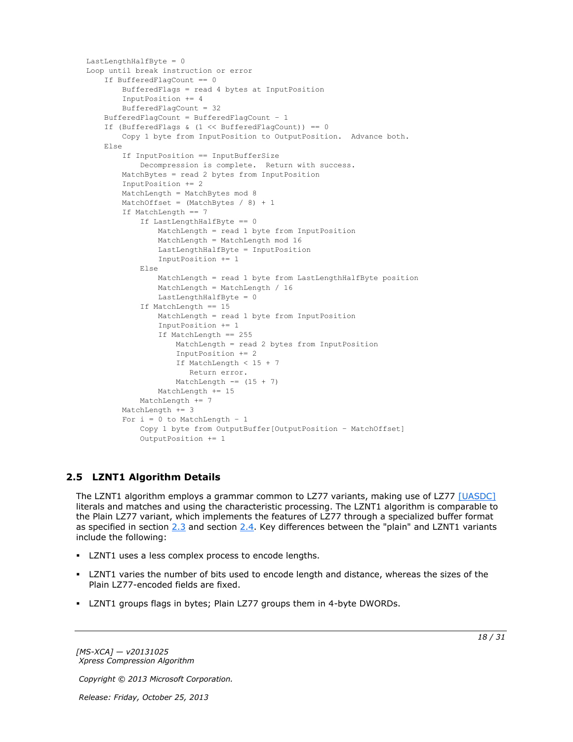```
LastLengthHalfByte = 0
Loop until break instruction or error
     If BufferedFlagCount == 0
        BufferedFlags = read 4 bytes at InputPosition
         InputPosition += 4
         BufferedFlagCount = 32
     BufferedFlagCount = BufferedFlagCount – 1
     If (BufferedFlags & (1 << BufferedFlagCount)) == 0
        Copy 1 byte from InputPosition to OutputPosition. Advance both.
     Else
         If InputPosition == InputBufferSize
             Decompression is complete. Return with success.
         MatchBytes = read 2 bytes from InputPosition
         InputPosition += 2
         MatchLength = MatchBytes mod 8
        MatchOffset = (MatchBytes / 8) + 1 If MatchLength == 7
             If LastLengthHalfByte == 0
                 MatchLength = read 1 byte from InputPosition
                MatchLength = MatchLength mod 16
                 LastLengthHalfByte = InputPosition
                InputPosition += 1
             Else
                MatchLength = read 1 byte from LastLengthHalfByte position
                 MatchLength = MatchLength / 16
                 LastLengthHalfByte = 0
             If MatchLength == 15
                 MatchLength = read 1 byte from InputPosition
                 InputPosition += 1
                 If MatchLength == 255
                    MatchLength = read 2 bytes from InputPosition
                    InputPosition += 2
                   If MatchLength < 15 + 7
                       Return error.
                    MatchLength == (15 + 7) MatchLength += 15
            MatchLength += 7
         MatchLength += 3
        For i = 0 to MatchLength - 1
             Copy 1 byte from OutputBuffer[OutputPosition – MatchOffset]
             OutputPosition += 1
```
# <span id="page-17-0"></span>**2.5 LZNT1 Algorithm Details**

<span id="page-17-1"></span>The LZNT1 algorithm employs a grammar common to LZ77 variants, making use of LZ77 [\[UASDC\]](http://go.microsoft.com/fwlink/?LinkId=90549) literals and matches and using the characteristic processing. The LZNT1 algorithm is comparable to the Plain LZ77 variant, which implements the features of LZ77 through a specialized buffer format as specified in section [2.3](#page-14-2) and section [2.4.](#page-16-5) Key differences between the "plain" and LZNT1 variants include the following:

- **LZNT1** uses a less complex process to encode lengths.
- LZNT1 varies the number of bits used to encode length and distance, whereas the sizes of the Plain LZ77-encoded fields are fixed.
- LZNT1 groups flags in bytes; Plain LZ77 groups them in 4-byte DWORDs.

*[MS-XCA] — v20131025 Xpress Compression Algorithm* 

*Copyright © 2013 Microsoft Corporation.*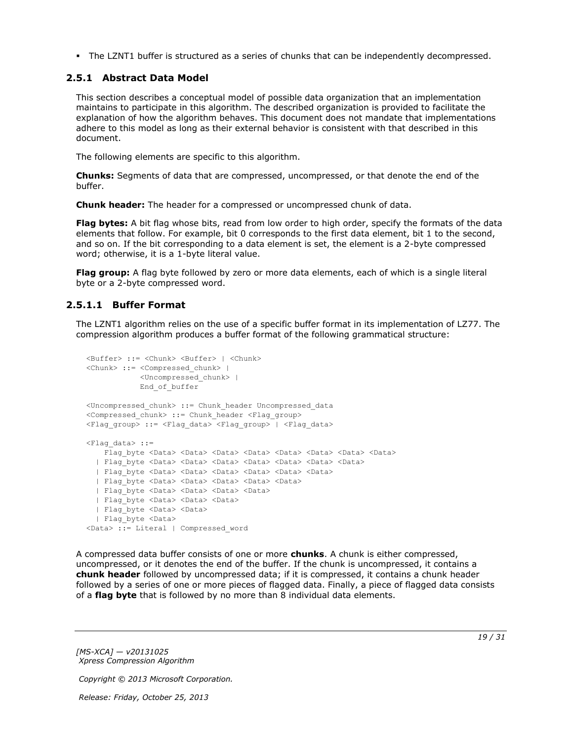<span id="page-18-2"></span>The LZNT1 buffer is structured as a series of chunks that can be independently decompressed.

## <span id="page-18-0"></span>**2.5.1 Abstract Data Model**

This section describes a conceptual model of possible data organization that an implementation maintains to participate in this algorithm. The described organization is provided to facilitate the explanation of how the algorithm behaves. This document does not mandate that implementations adhere to this model as long as their external behavior is consistent with that described in this document.

The following elements are specific to this algorithm.

**Chunks:** Segments of data that are compressed, uncompressed, or that denote the end of the buffer.

**Chunk header:** The header for a compressed or uncompressed chunk of data.

**Flag bytes:** A bit flag whose bits, read from low order to high order, specify the formats of the data elements that follow. For example, bit 0 corresponds to the first data element, bit 1 to the second, and so on. If the bit corresponding to a data element is set, the element is a 2-byte compressed word; otherwise, it is a 1-byte literal value.

**Flag group:** A flag byte followed by zero or more data elements, each of which is a single literal byte or a 2-byte compressed word.

# <span id="page-18-1"></span>**2.5.1.1 Buffer Format**

<span id="page-18-3"></span>The LZNT1 algorithm relies on the use of a specific buffer format in its implementation of LZ77. The compression algorithm produces a buffer format of the following grammatical structure:

```
<Buffer> ::= <Chunk> <Buffer> | <Chunk>
<Chunk> ::= <Compressed_chunk> | 
            <Uncompressed_chunk> |
            End_of_buffer
<Uncompressed_chunk> ::= Chunk_header Uncompressed_data
<Compressed_chunk> ::= Chunk_header <Flag_group>
<Flag_group> ::= <Flag_data> <Flag_group> | <Flag_data>
\langleFlag data> ::=
   Flag byte <Data> <Data> <Data> <Data> <Data> <Data> <Data> <Data> <Data> <Data>
   | Flag_byte <Data> <Data> <Data> <Data> <Data> <Data> <Data>
  | Flag_byte <Data> <Data> <Data> <Data> <Data> <Data>
  | Flag_byte <Data> <Data> <Data> <Data> <Data>
 | Flag_byte <Data> <Data> <Data> <Data>
  | Flag_byte <Data> <Data> <Data> 
  | Flag_byte <Data> <Data>
  | Flag_byte <Data> 
<Data> ::= Literal | Compressed_word
```
A compressed data buffer consists of one or more **chunks**. A chunk is either compressed, uncompressed, or it denotes the end of the buffer. If the chunk is uncompressed, it contains a **chunk header** followed by uncompressed data; if it is compressed, it contains a chunk header followed by a series of one or more pieces of flagged data. Finally, a piece of flagged data consists of a **flag byte** that is followed by no more than 8 individual data elements.

*[MS-XCA] — v20131025 Xpress Compression Algorithm* 

*Copyright © 2013 Microsoft Corporation.*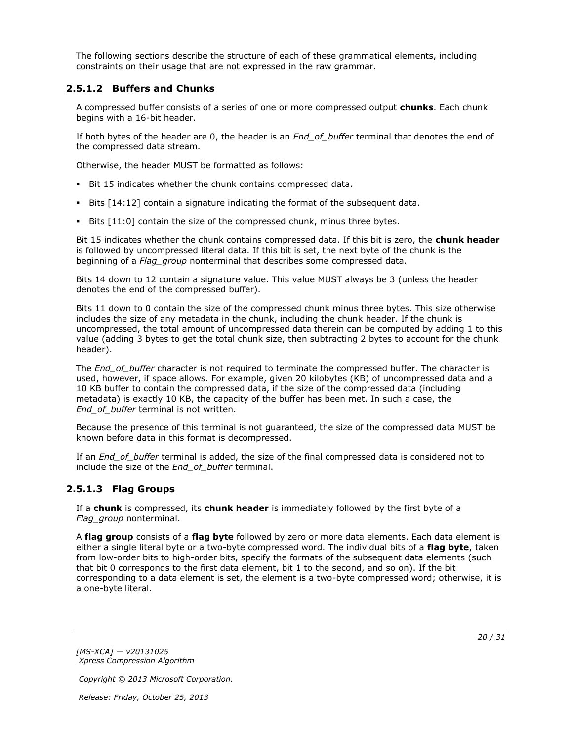The following sections describe the structure of each of these grammatical elements, including constraints on their usage that are not expressed in the raw grammar.

## <span id="page-19-0"></span>**2.5.1.2 Buffers and Chunks**

A compressed buffer consists of a series of one or more compressed output **chunks**. Each chunk begins with a 16-bit header.

If both bytes of the header are 0, the header is an *End\_of\_buffer* terminal that denotes the end of the compressed data stream.

Otherwise, the header MUST be formatted as follows:

- Bit 15 indicates whether the chunk contains compressed data.
- Bits [14:12] contain a signature indicating the format of the subsequent data.
- Bits [11:0] contain the size of the compressed chunk, minus three bytes.

Bit 15 indicates whether the chunk contains compressed data. If this bit is zero, the **chunk header** is followed by uncompressed literal data. If this bit is set, the next byte of the chunk is the beginning of a *Flag\_group* nonterminal that describes some compressed data.

Bits 14 down to 12 contain a signature value. This value MUST always be 3 (unless the header denotes the end of the compressed buffer).

Bits 11 down to 0 contain the size of the compressed chunk minus three bytes. This size otherwise includes the size of any metadata in the chunk, including the chunk header. If the chunk is uncompressed, the total amount of uncompressed data therein can be computed by adding 1 to this value (adding 3 bytes to get the total chunk size, then subtracting 2 bytes to account for the chunk header).

The *End* of buffer character is not required to terminate the compressed buffer. The character is used, however, if space allows. For example, given 20 kilobytes (KB) of uncompressed data and a 10 KB buffer to contain the compressed data, if the size of the compressed data (including metadata) is exactly 10 KB, the capacity of the buffer has been met. In such a case, the *End\_of\_buffer* terminal is not written.

Because the presence of this terminal is not guaranteed, the size of the compressed data MUST be known before data in this format is decompressed.

If an *End\_of\_buffer* terminal is added, the size of the final compressed data is considered not to include the size of the *End\_of\_buffer* terminal.

# <span id="page-19-1"></span>**2.5.1.3 Flag Groups**

If a **chunk** is compressed, its **chunk header** is immediately followed by the first byte of a *Flag\_group* nonterminal.

A **flag group** consists of a **flag byte** followed by zero or more data elements. Each data element is either a single literal byte or a two-byte compressed word. The individual bits of a **flag byte**, taken from low-order bits to high-order bits, specify the formats of the subsequent data elements (such that bit 0 corresponds to the first data element, bit 1 to the second, and so on). If the bit corresponding to a data element is set, the element is a two-byte compressed word; otherwise, it is a one-byte literal.

*[MS-XCA] — v20131025 Xpress Compression Algorithm* 

*Copyright © 2013 Microsoft Corporation.*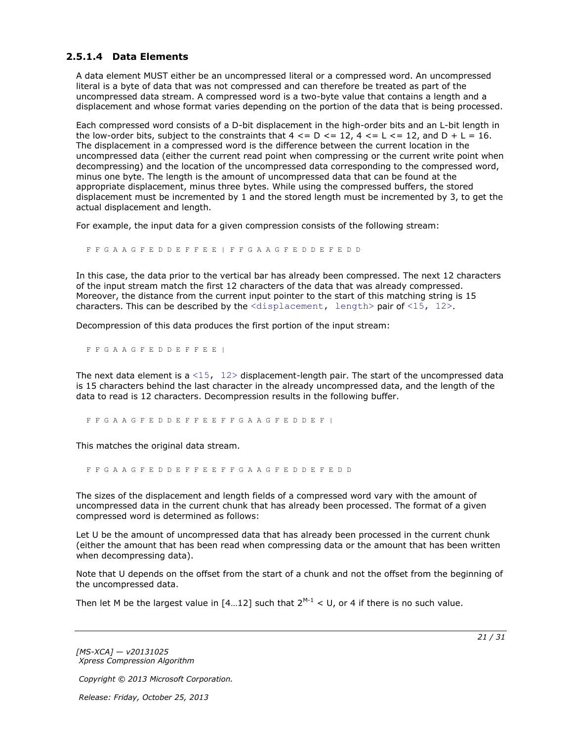# <span id="page-20-0"></span>**2.5.1.4 Data Elements**

<span id="page-20-1"></span>A data element MUST either be an uncompressed literal or a compressed word. An uncompressed literal is a byte of data that was not compressed and can therefore be treated as part of the uncompressed data stream. A compressed word is a two-byte value that contains a length and a displacement and whose format varies depending on the portion of the data that is being processed.

Each compressed word consists of a D-bit displacement in the high-order bits and an L-bit length in the low-order bits, subject to the constraints that  $4 \leq D \leq 12$ ,  $4 \leq L \leq 12$ , and  $D + L = 16$ . The displacement in a compressed word is the difference between the current location in the uncompressed data (either the current read point when compressing or the current write point when decompressing) and the location of the uncompressed data corresponding to the compressed word, minus one byte. The length is the amount of uncompressed data that can be found at the appropriate displacement, minus three bytes. While using the compressed buffers, the stored displacement must be incremented by 1 and the stored length must be incremented by 3, to get the actual displacement and length.

For example, the input data for a given compression consists of the following stream:

F F G A A G F E D D E F F E E | F F G A A G F E D D E F E D D

In this case, the data prior to the vertical bar has already been compressed. The next 12 characters of the input stream match the first 12 characters of the data that was already compressed. Moreover, the distance from the current input pointer to the start of this matching string is 15 characters. This can be described by the  $\langle$ displacement, length> pair of  $\langle 15, 12 \rangle$ .

Decompression of this data produces the first portion of the input stream:

F F G A A G F E D D E F F E E |

The next data element is a  $\langle 15, 12 \rangle$  displacement-length pair. The start of the uncompressed data is 15 characters behind the last character in the already uncompressed data, and the length of the data to read is 12 characters. Decompression results in the following buffer.

F F G A A G F E D D E F F E E F F G A A G F E D D E F |

This matches the original data stream.

F F G A A G F E D D E F F E E F F G A A G F E D D E F E D D

The sizes of the displacement and length fields of a compressed word vary with the amount of uncompressed data in the current chunk that has already been processed. The format of a given compressed word is determined as follows:

Let U be the amount of uncompressed data that has already been processed in the current chunk (either the amount that has been read when compressing data or the amount that has been written when decompressing data).

Note that U depends on the offset from the start of a chunk and not the offset from the beginning of the uncompressed data.

Then let M be the largest value in  $[4...12]$  such that  $2^{M-1}$  < U, or 4 if there is no such value.

*[MS-XCA] — v20131025 Xpress Compression Algorithm* 

*Copyright © 2013 Microsoft Corporation.*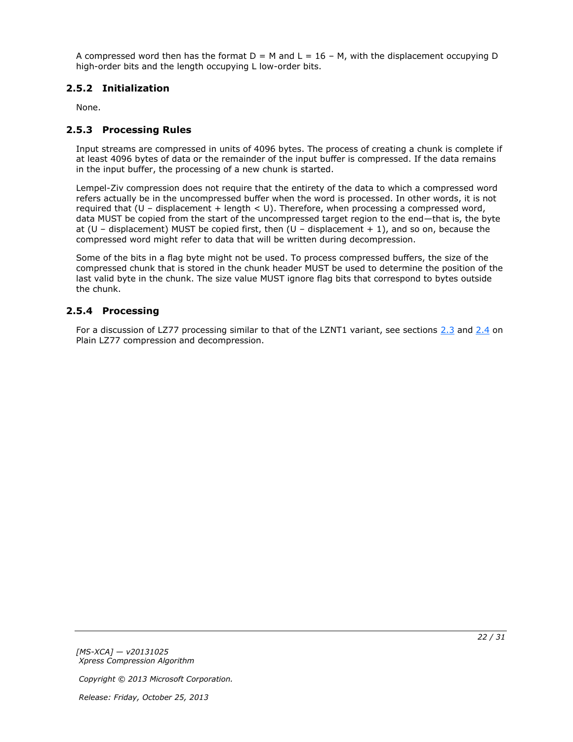A compressed word then has the format  $D = M$  and  $L = 16 - M$ , with the displacement occupying D high-order bits and the length occupying L low-order bits.

# <span id="page-21-0"></span>**2.5.2 Initialization**

<span id="page-21-5"></span><span id="page-21-3"></span>None.

# <span id="page-21-1"></span>**2.5.3 Processing Rules**

Input streams are compressed in units of 4096 bytes. The process of creating a chunk is complete if at least 4096 bytes of data or the remainder of the input buffer is compressed. If the data remains in the input buffer, the processing of a new chunk is started.

Lempel-Ziv compression does not require that the entirety of the data to which a compressed word refers actually be in the uncompressed buffer when the word is processed. In other words, it is not required that (U – displacement + length < U). Therefore, when processing a compressed word, data MUST be copied from the start of the uncompressed target region to the end—that is, the byte at (U – displacement) MUST be copied first, then (U – displacement  $+1$ ), and so on, because the compressed word might refer to data that will be written during decompression.

Some of the bits in a flag byte might not be used. To process compressed buffers, the size of the compressed chunk that is stored in the chunk header MUST be used to determine the position of the last valid byte in the chunk. The size value MUST ignore flag bits that correspond to bytes outside the chunk.

# <span id="page-21-2"></span>**2.5.4 Processing**

<span id="page-21-4"></span>For a discussion of LZ77 processing similar to that of the LZNT1 variant, see sections [2.3](#page-14-2) and [2.4](#page-16-5) on Plain LZ77 compression and decompression.

*Copyright © 2013 Microsoft Corporation.*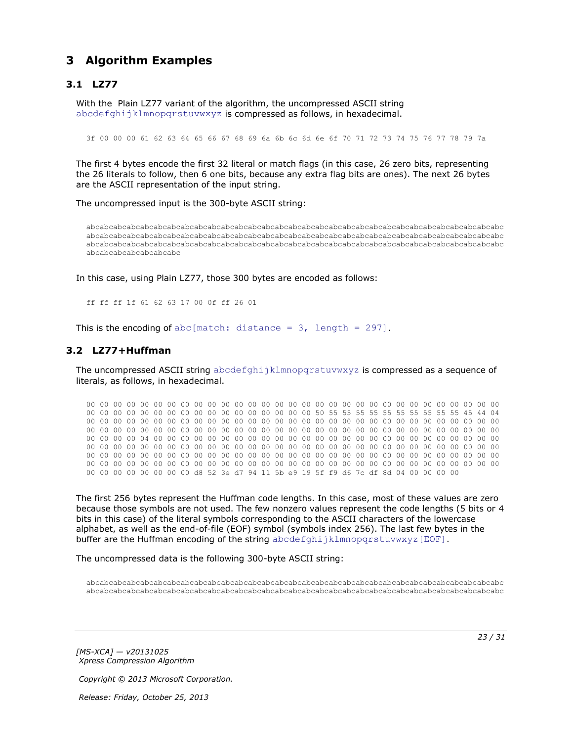# <span id="page-22-0"></span>**3 Algorithm Examples**

# <span id="page-22-1"></span>**3.1 LZ77**

<span id="page-22-3"></span>With the Plain LZ77 variant of the algorithm, the uncompressed ASCII string abcdefghijklmnopqrstuvwxyz is compressed as follows, in hexadecimal.

3f 00 00 00 61 62 63 64 65 66 67 68 69 6a 6b 6c 6d 6e 6f 70 71 72 73 74 75 76 77 78 79 7a

The first 4 bytes encode the first 32 literal or match flags (in this case, 26 zero bits, representing the 26 literals to follow, then 6 one bits, because any extra flag bits are ones). The next 26 bytes are the ASCII representation of the input string.

The uncompressed input is the 300-byte ASCII string:

abcabcabcabcabcabcabcabcabcabcabcabcabcabcabcabcabcabcabcabcabcabcabcabcabcabcabcabcabcabcabc abcabcabcabcabcabcabcabcabcabcabcabcabcabcabcabcabcabcabcabcabcabcabcabcabcabcabcabcabcabcabc abcabcabcabcabcabcabcabcabcabcabcabcabcabcabcabcabcabcabcabcabcabcabcabcabcabcabcabcabcabcabc abcabcabcabcabcabcabc

In this case, using Plain LZ77, those 300 bytes are encoded as follows:

<span id="page-22-4"></span>ff ff ff 1f 61 62 63 17 00 0f ff 26 01

This is the encoding of abc[match: distance =  $3$ , length = 297].

## <span id="page-22-2"></span>**3.2 LZ77+Huffman**

The uncompressed ASCII string abcdefghijklmnopgrstuvwxyz is compressed as a sequence of literals, as follows, in hexadecimal.

00 00 00 00 00 00 00 00 00 00 00 00 00 00 00 00 00 00 00 00 00 00 00 00 00 00 00 00 00 00 00 00 00 00 00 00 00 00 00 00 00 00 00 00 00 00 00 00 50 55 55 55 55 55 55 55 55 55 55 45 44 04 00 00 00 00 00 00 00 00 00 00 00 00 00 00 00 00 00 00 00 00 00 00 00 00 00 00 00 00 00 00 00 00 00 00 00 00 00 00 00 00 00 00 00 00 00 00 00 00 00 00 00 00 00 00 00 00 00 00 00 00 00 00 00 00 00 00 04 00 00 00 00 00 00 00 00 00 00 00 00 00 00 00 00 00 00 00 00 00 00 00 00 00 00 00 00 00 00 00 00 00 00 00 00 00 00 00 00 00 00 00 00 00 00 00 00 00 00 00 00 00 00 00 00 00 00 00 00 00 00 00 00 00 00 00 00 00 00 00 00 00 00 00 00 00 00 00 00 00 00 00 00 00 00 00 00 00 00 00 00 00 00 00 00 00 00 00 00 00 00 00 00 00 00 00 00 00 00 00 00 00 00 00 00 00 00 00 00 00 00 00 00 00 00 00 d8 52 3e d7 94 11 5b e9 19 5f f9 d6 7c df 8d 04 00 00 00 00

The first 256 bytes represent the Huffman code lengths. In this case, most of these values are zero because those symbols are not used. The few nonzero values represent the code lengths (5 bits or 4 bits in this case) of the literal symbols corresponding to the ASCII characters of the lowercase alphabet, as well as the end-of-file (EOF) symbol (symbols index 256). The last few bytes in the buffer are the Huffman encoding of the string abcdefghijklmnopqrstuvwxyz[EOF].

The uncompressed data is the following 300-byte ASCII string:

abcabcabcabcabcabcabcabcabcabcabcabcabcabcabcabcabcabcabcabcabcabcabcabcabcabcabcabcabcabcabc abcabcabcabcabcabcabcabcabcabcabcabcabcabcabcabcabcabcabcabcabcabcabcabcabcabcabcabcabcabcabc

*[MS-XCA] — v20131025 Xpress Compression Algorithm*  *23 / 31*

*Copyright © 2013 Microsoft Corporation.*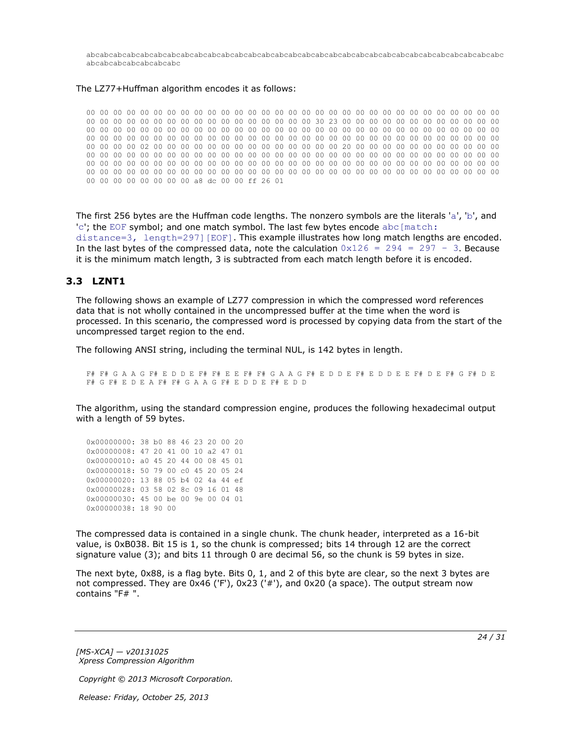abcabcabcabcabcabcabcabcabcabcabcabcabcabcabcabcabcabcabcabcabcabcabcabcabcabcabcabcabcabcabc abcabcabcabcabcabcabc

#### The LZ77+Huffman algorithm encodes it as follows:

00 00 00 00 00 00 00 00 00 00 00 00 00 00 00 00 00 00 00 00 00 00 00 00 00 00 00 00 00 00 00 00 00 00 00 00 00 00 00 00 00 00 00 00 00 00 00 00 30 23 00 00 00 00 00 00 00 00 00 00 00 00 00 00 00 00 00 00 00 00 00 00 00 00 00 00 00 00 00 00 00 00 00 00 00 00 00 00 00 00 00 00 00 00 00 00 00 00 00 00 00 00 00 00 00 00 00 00 00 00 00 00 00 00 00 00 00 00 00 00 00 00 00 00 00 00 00 00 02 00 00 00 00 00 00 00 00 00 00 00 00 00 00 20 00 00 00 00 00 00 00 00 00 00 00 00 00 00 00 00 00 00 00 00 00 00 00 00 00 00 00 00 00 00 00 00 00 00 00 00 00 00 00 00 00 00 00 00 00 00 00 00 00 00 00 00 00 00 00 00 00 00 00 00 00 00 00 00 00 00 00 00 00 00 00 00 00 00 00 00 00 00 00 00 00 00 00 00 00 00 00 00 00 00 00 00 00 00 00 00 00 00 00 00 00 00 00 00 00 00 00 00 00 00 00 00 a8 dc 00 00 ff 26 01

The first 256 bytes are the Huffman code lengths. The nonzero symbols are the literals 'a', 'b', and 'c'; the EOF symbol; and one match symbol. The last few bytes encode abc [match: distance=3, length=297][EOF]. This example illustrates how long match lengths are encoded. In the last bytes of the compressed data, note the calculation  $0x126 = 294 = 297 - 3$ . Because it is the minimum match length, 3 is subtracted from each match length before it is encoded.

#### <span id="page-23-0"></span>**3.3 LZNT1**

<span id="page-23-1"></span>The following shows an example of LZ77 compression in which the compressed word references data that is not wholly contained in the uncompressed buffer at the time when the word is processed. In this scenario, the compressed word is processed by copying data from the start of the uncompressed target region to the end.

The following ANSI string, including the terminal NUL, is 142 bytes in length.

F# F# G A A G F# E D D E F# F# E E F# F# G A A G F# E D D E F# E D D E E F# D E F# G F# D E F# G F# E D E A F# F# G A A G F# E D D E F# E D D

The algorithm, using the standard compression engine, produces the following hexadecimal output with a length of 59 bytes.

0x00000000: 38 b0 88 46 23 20 00 20 0x00000008: 47 20 41 00 10 a2 47 01 0x00000010: a0 45 20 44 00 08 45 01 0x00000018: 50 79 00 c0 45 20 05 24 0x00000020: 13 88 05 b4 02 4a 44 ef 0x00000028: 03 58 02 8c 09 16 01 48 0x00000030: 45 00 be 00 9e 00 04 01 0x00000038: 18 90 00

The compressed data is contained in a single chunk. The chunk header, interpreted as a 16-bit value, is 0xB038. Bit 15 is 1, so the chunk is compressed; bits 14 through 12 are the correct signature value (3); and bits 11 through 0 are decimal 56, so the chunk is 59 bytes in size.

The next byte, 0x88, is a flag byte. Bits 0, 1, and 2 of this byte are clear, so the next 3 bytes are not compressed. They are 0x46 ('F'), 0x23 ('#'), and 0x20 (a space). The output stream now contains "F# ".

*[MS-XCA] — v20131025 Xpress Compression Algorithm* 

*Copyright © 2013 Microsoft Corporation.*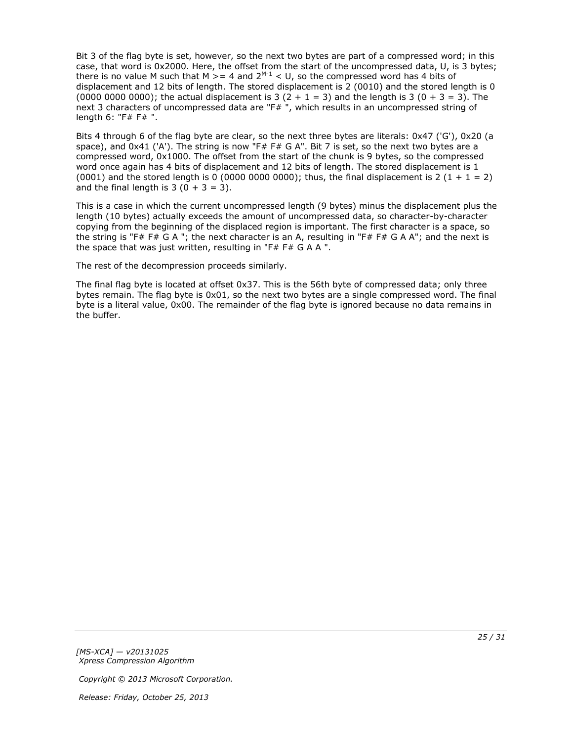Bit 3 of the flag byte is set, however, so the next two bytes are part of a compressed word; in this case, that word is 0x2000. Here, the offset from the start of the uncompressed data, U, is 3 bytes; there is no value M such that M  $>= 4$  and 2<sup>M-1</sup> < U, so the compressed word has 4 bits of displacement and 12 bits of length. The stored displacement is 2 (0010) and the stored length is 0 (0000 0000 0000); the actual displacement is 3  $(2 + 1 = 3)$  and the length is 3  $(0 + 3 = 3)$ . The next 3 characters of uncompressed data are "F#", which results in an uncompressed string of length 6: "F# F# ".

Bits 4 through 6 of the flag byte are clear, so the next three bytes are literals: 0x47 ('G'), 0x20 (a space), and  $0x41$  ('A'). The string is now "F# F# G A". Bit 7 is set, so the next two bytes are a compressed word, 0x1000. The offset from the start of the chunk is 9 bytes, so the compressed word once again has 4 bits of displacement and 12 bits of length. The stored displacement is 1 (0001) and the stored length is 0 (0000 0000 0000); thus, the final displacement is 2 (1 + 1 = 2) and the final length is  $3(0 + 3 = 3)$ .

This is a case in which the current uncompressed length (9 bytes) minus the displacement plus the length (10 bytes) actually exceeds the amount of uncompressed data, so character-by-character copying from the beginning of the displaced region is important. The first character is a space, so the string is "F# F# G A "; the next character is an A, resulting in "F# F# G A A"; and the next is the space that was just written, resulting in "F# F# G A A ".

The rest of the decompression proceeds similarly.

The final flag byte is located at offset 0x37. This is the 56th byte of compressed data; only three bytes remain. The flag byte is 0x01, so the next two bytes are a single compressed word. The final byte is a literal value, 0x00. The remainder of the flag byte is ignored because no data remains in the buffer.

*[MS-XCA] — v20131025 Xpress Compression Algorithm* 

*Copyright © 2013 Microsoft Corporation.*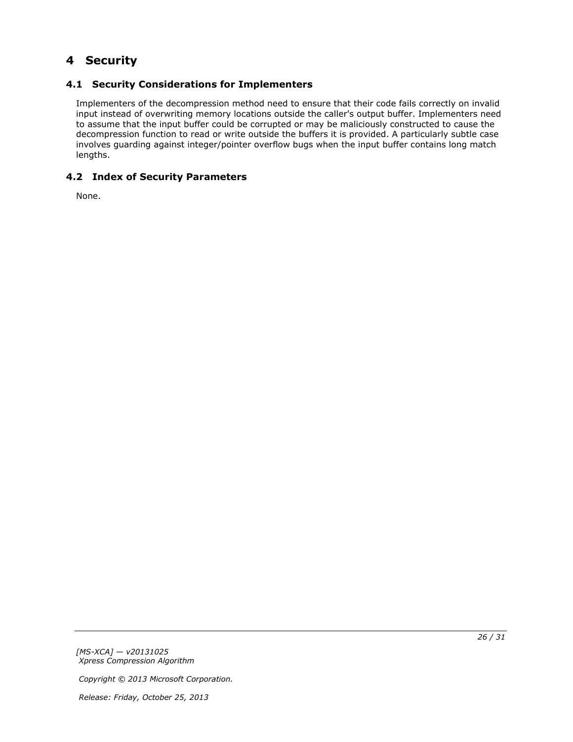# <span id="page-25-0"></span>**4 Security**

# <span id="page-25-1"></span>**4.1 Security Considerations for Implementers**

<span id="page-25-3"></span>Implementers of the decompression method need to ensure that their code fails correctly on invalid input instead of overwriting memory locations outside the caller's output buffer. Implementers need to assume that the input buffer could be corrupted or may be maliciously constructed to cause the decompression function to read or write outside the buffers it is provided. A particularly subtle case involves guarding against integer/pointer overflow bugs when the input buffer contains long match lengths.

# <span id="page-25-2"></span>**4.2 Index of Security Parameters**

<span id="page-25-4"></span>None.

*[MS-XCA] — v20131025 Xpress Compression Algorithm* 

*Copyright © 2013 Microsoft Corporation.*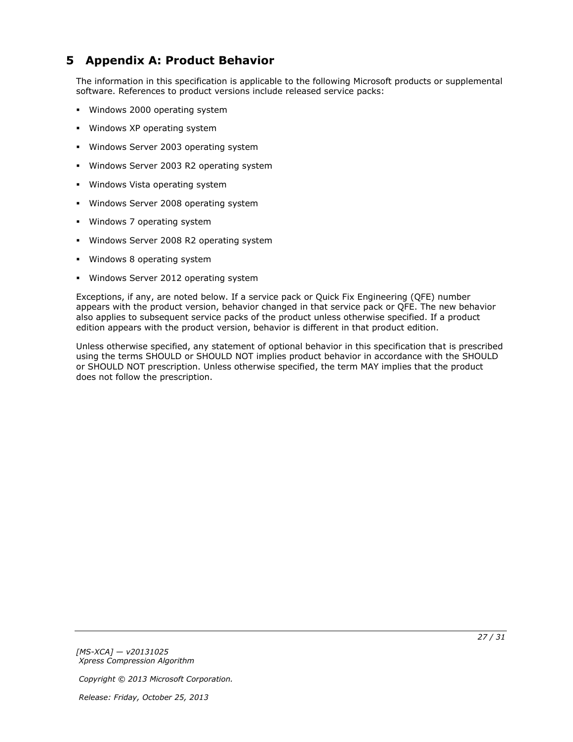# <span id="page-26-0"></span>**5 Appendix A: Product Behavior**

<span id="page-26-1"></span>The information in this specification is applicable to the following Microsoft products or supplemental software. References to product versions include released service packs:

- **Windows 2000 operating system**
- **Windows XP operating system**
- **Windows Server 2003 operating system**
- **Windows Server 2003 R2 operating system**
- **Windows Vista operating system**
- **Windows Server 2008 operating system**
- Windows 7 operating system
- Windows Server 2008 R2 operating system
- Windows 8 operating system
- **Windows Server 2012 operating system**

Exceptions, if any, are noted below. If a service pack or Quick Fix Engineering (QFE) number appears with the product version, behavior changed in that service pack or QFE. The new behavior also applies to subsequent service packs of the product unless otherwise specified. If a product edition appears with the product version, behavior is different in that product edition.

Unless otherwise specified, any statement of optional behavior in this specification that is prescribed using the terms SHOULD or SHOULD NOT implies product behavior in accordance with the SHOULD or SHOULD NOT prescription. Unless otherwise specified, the term MAY implies that the product does not follow the prescription.

*[MS-XCA] — v20131025 Xpress Compression Algorithm* 

*Copyright © 2013 Microsoft Corporation.*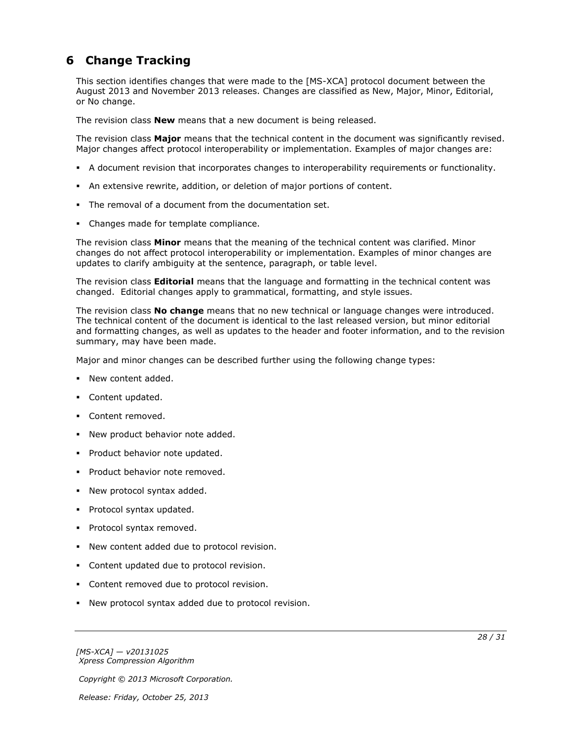# <span id="page-27-0"></span>**6 Change Tracking**

<span id="page-27-1"></span>This section identifies changes that were made to the [MS-XCA] protocol document between the August 2013 and November 2013 releases. Changes are classified as New, Major, Minor, Editorial, or No change.

The revision class **New** means that a new document is being released.

The revision class **Major** means that the technical content in the document was significantly revised. Major changes affect protocol interoperability or implementation. Examples of major changes are:

- A document revision that incorporates changes to interoperability requirements or functionality.
- An extensive rewrite, addition, or deletion of major portions of content.
- The removal of a document from the documentation set.
- Changes made for template compliance.

The revision class **Minor** means that the meaning of the technical content was clarified. Minor changes do not affect protocol interoperability or implementation. Examples of minor changes are updates to clarify ambiguity at the sentence, paragraph, or table level.

The revision class **Editorial** means that the language and formatting in the technical content was changed. Editorial changes apply to grammatical, formatting, and style issues.

The revision class **No change** means that no new technical or language changes were introduced. The technical content of the document is identical to the last released version, but minor editorial and formatting changes, as well as updates to the header and footer information, and to the revision summary, may have been made.

Major and minor changes can be described further using the following change types:

- New content added.
- **Content updated.**
- Content removed.
- New product behavior note added.
- **Product behavior note updated.**
- **Product behavior note removed.**
- New protocol syntax added.
- **Protocol syntax updated.**
- **Protocol syntax removed.**
- New content added due to protocol revision.
- Content updated due to protocol revision.
- Content removed due to protocol revision.
- New protocol syntax added due to protocol revision.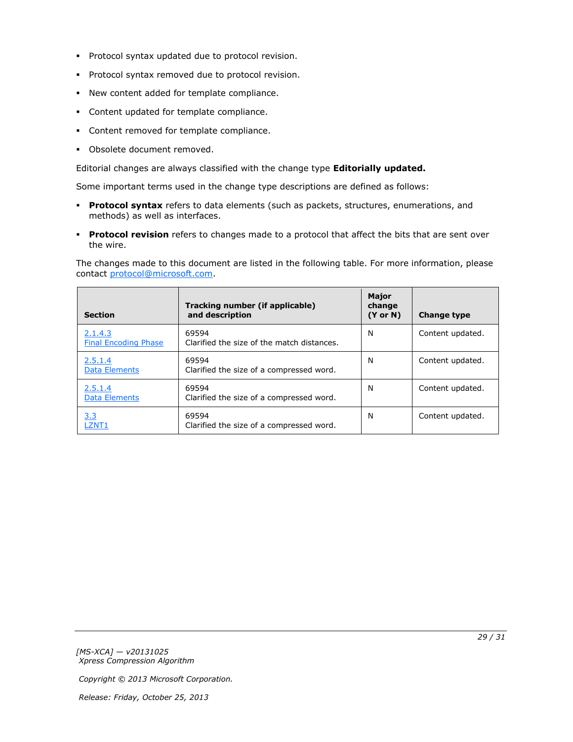- **Protocol syntax updated due to protocol revision.**
- **Protocol syntax removed due to protocol revision.**
- New content added for template compliance.
- Content updated for template compliance.
- **Content removed for template compliance.**
- Obsolete document removed.

Editorial changes are always classified with the change type **Editorially updated.**

Some important terms used in the change type descriptions are defined as follows:

- **Protocol syntax** refers to data elements (such as packets, structures, enumerations, and methods) as well as interfaces.
- **Protocol revision** refers to changes made to a protocol that affect the bits that are sent over the wire.

The changes made to this document are listed in the following table. For more information, please contact [protocol@microsoft.com.](mailto:protocol@microsoft.com)

| <b>Section</b>                         | Tracking number (if applicable)<br>and description  | <b>Major</b><br>change<br>$(Y \text{ or } N)$ | <b>Change type</b> |
|----------------------------------------|-----------------------------------------------------|-----------------------------------------------|--------------------|
| 2.1.4.3<br><b>Final Encoding Phase</b> | 69594<br>Clarified the size of the match distances. | N                                             | Content updated.   |
| 2.5.1.4<br><b>Data Elements</b>        | 69594<br>Clarified the size of a compressed word.   | N                                             | Content updated.   |
| 2.5.1.4<br><b>Data Elements</b>        | 69594<br>Clarified the size of a compressed word.   | N                                             | Content updated.   |
| <u>3.3</u><br>LZNT1                    | 69594<br>Clarified the size of a compressed word.   | N                                             | Content updated.   |

*[MS-XCA] — v20131025 Xpress Compression Algorithm* 

*Copyright © 2013 Microsoft Corporation.*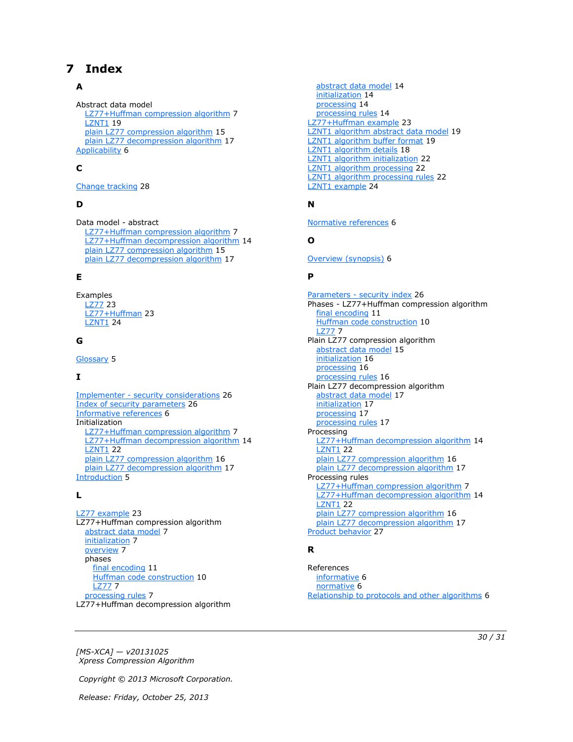# <span id="page-29-0"></span>**7 Index**

#### **A**

Abstract data model [LZ77+Huffman compression algorithm](#page-6-8) 7 **[LZNT1](#page-18-2) 19** [plain LZ77 compression algorithm](#page-14-3) 15 [plain LZ77 decompression algorithm](#page-16-6) 17 [Applicability](#page-5-6) 6

## **C**

[Change tracking](#page-27-1) 28

### **D**

Data model - abstract [LZ77+Huffman compression algorithm](#page-6-8)[LZ77+Huffman decompression algorithm](#page-13-5)[plain LZ77 compression algorithm](#page-14-3)[plain LZ77 decompression algorithm](#page-16-6)

### **E**

Examples [LZ77](#page-22-3) 23 [LZ77+Huffman](#page-22-4) 23 **[LZNT1](#page-23-1) 24** 

# **G**

[Glossary](#page-4-9) 5

### **I**

Implementer - [security considerations](#page-25-3) 26 [Index of security parameters](#page-25-4) 26 [Informative references](#page-5-7) 6 Initialization [LZ77+Huffman compression algorithm](#page-6-9) 7 [LZ77+Huffman decompression algorithm](#page-13-6) 14 [LZNT1](#page-21-3) 22 [plain LZ77 compression algorithm](#page-15-3) 16 [plain LZ77 decompression algorithm](#page-16-7) 17 [Introduction](#page-4-10) 5

# **L**

IZ77 example 23 LZ77+Huffman compression algorithm [abstract data model](#page-6-8) 7 [initialization](#page-6-9) 7 [overview](#page-6-10) 7 phases [final encoding](#page-10-1) 11 [Huffman code construction](#page-9-1) 10 [LZ77](#page-6-7) 7 [processing rules](#page-6-11) 7 LZ77+Huffman decompression algorithm

[abstract data model](#page-13-5) 14 [initialization](#page-13-6) 14 [processing](#page-13-7) 14 [processing rules](#page-13-8) 14 [LZ77+Huffman example](#page-22-4) 23 [LZNT1 algorithm abstract data model](#page-18-2) 19 [LZNT1 algorithm buffer format](#page-18-3) 19 [LZNT1 algorithm details](#page-17-1) 18 [LZNT1 algorithm initialization](#page-21-3) 22 [LZNT1 algorithm processing](#page-21-4) 22 [LZNT1 algorithm processing rules](#page-21-5) 22 [LZNT1 example](#page-23-1) 24

# **N**

[Normative references](#page-5-8) 6

## **O**

[Overview \(synopsis\)](#page-5-9) 6

#### **P**

Parameters - [security index](#page-25-4) 26 Phases - LZ77+Huffman compression algorithm [final encoding](#page-10-1) 11 [Huffman code construction](#page-9-1) 10 [LZ77](#page-6-7) 7 Plain LZ77 compression algorithm [abstract data model](#page-14-3) 15 [initialization](#page-15-3) 16 [processing](#page-15-4) 16 [processing rules](#page-15-5) 16 Plain LZ77 decompression algorithm [abstract data model](#page-16-6) 17 [initialization](#page-16-7) 17 [processing](#page-16-8) 17 [processing rules](#page-16-9) 17 Processing [LZ77+Huffman decompression algorithm](#page-13-7) 14 [LZNT1](#page-21-4) 22 [plain LZ77 compression algorithm](#page-15-4) 16 [plain LZ77 decompression algorithm](#page-16-8) 17 Processing rules [LZ77+Huffman compression algorithm](#page-6-11) 7 [LZ77+Huffman decompression algorithm](#page-13-8) 14 **[LZNT1](#page-21-5) 22** [plain LZ77 compression algorithm](#page-15-5) 16 [plain LZ77 decompression algorithm](#page-16-9) 17 [Product behavior](#page-26-1) 27

### **R**

References [informative](#page-5-7) 6 [normative](#page-5-8) 6 [Relationship to protocols and other algorithms](#page-5-10) 6

*[MS-XCA] — v20131025 Xpress Compression Algorithm* 

*Copyright © 2013 Microsoft Corporation.* 

*Release: Friday, October 25, 2013* 

#### *30 / 31*